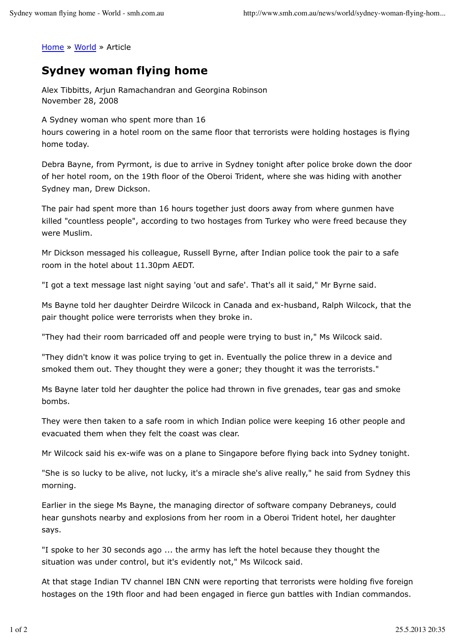Home » World » Article

## **Sydney woman flying home**

Alex Tibbitts, Arjun Ramachandran and Georgina Robinson November 28, 2008

A Sydney woman who spent more than 16

hours cowering in a hotel room on the same floor that terrorists were holding hostages is flying home today.

Debra Bayne, from Pyrmont, is due to arrive in Sydney tonight after police broke down the door of her hotel room, on the 19th floor of the Oberoi Trident, where she was hiding with another Sydney man, Drew Dickson.

The pair had spent more than 16 hours together just doors away from where gunmen have killed "countless people", according to two hostages from Turkey who were freed because they were Muslim.

Mr Dickson messaged his colleague, Russell Byrne, after Indian police took the pair to a safe room in the hotel about 11.30pm AEDT.

"I got a text message last night saying 'out and safe'. That's all it said," Mr Byrne said.

Ms Bayne told her daughter Deirdre Wilcock in Canada and ex-husband, Ralph Wilcock, that the pair thought police were terrorists when they broke in.

"They had their room barricaded off and people were trying to bust in," Ms Wilcock said.

"They didn't know it was police trying to get in. Eventually the police threw in a device and smoked them out. They thought they were a goner; they thought it was the terrorists."

Ms Bayne later told her daughter the police had thrown in five grenades, tear gas and smoke bombs.

They were then taken to a safe room in which Indian police were keeping 16 other people and evacuated them when they felt the coast was clear.

Mr Wilcock said his ex-wife was on a plane to Singapore before flying back into Sydney tonight.

"She is so lucky to be alive, not lucky, it's a miracle she's alive really," he said from Sydney this morning.

Earlier in the siege Ms Bayne, the managing director of software company Debraneys, could hear gunshots nearby and explosions from her room in a Oberoi Trident hotel, her daughter says.

"I spoke to her 30 seconds ago ... the army has left the hotel because they thought the situation was under control, but it's evidently not," Ms Wilcock said.

At that stage Indian TV channel IBN CNN were reporting that terrorists were holding five foreign hostages on the 19th floor and had been engaged in fierce gun battles with Indian commandos.